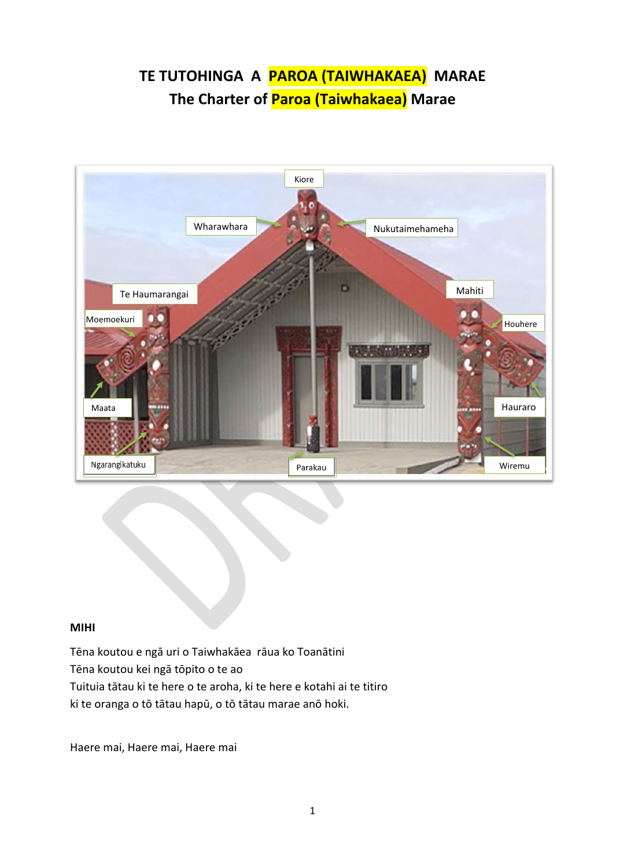# **TE TUTOHINGA A PAROA (TAIWHAKAEA) MARAE The Charter of Paroa (Taiwhakaea) Marae**



#### **MIHI**

Tēna koutou e ngā uri o Taiwhakāea rāua ko Toanātini Tēna koutou kei ngā tōpito o te ao Tuituia tātau ki te here o te aroha, ki te here e kotahi ai te titiro ki te oranga o tō tātau hapū, o tō tātau marae anō hoki.

Haere mai, Haere mai, Haere mai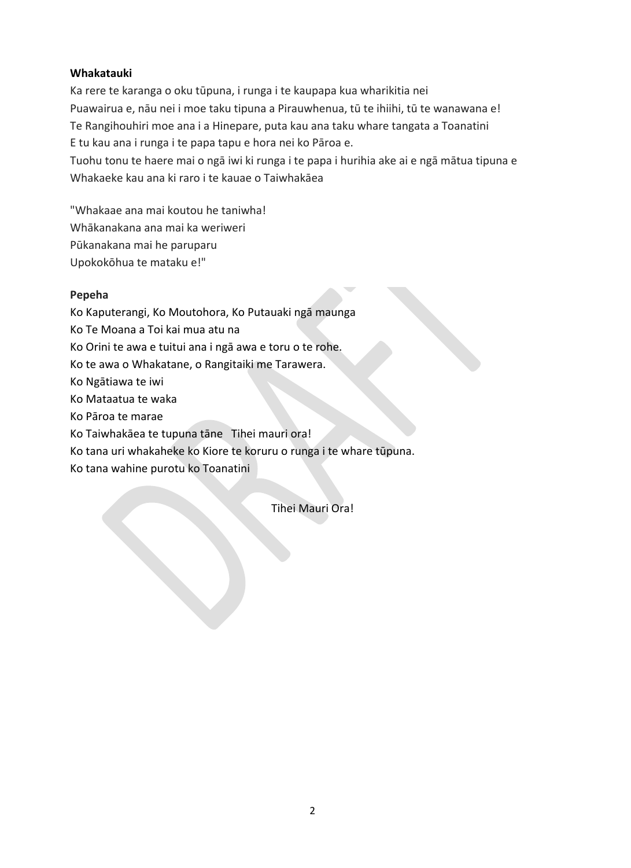## **Whakatauki**

Ka rere te karanga o oku tūpuna, i runga i te kaupapa kua wharikitia nei Puawairua e, nāu nei i moe taku tipuna a Pirauwhenua, tū te ihiihi, tū te wanawana e! Te Rangihouhiri moe ana i a Hinepare, puta kau ana taku whare tangata a Toanatini E tu kau ana i runga i te papa tapu e hora nei ko Pāroa e.

Tuohu tonu te haere mai o ngā iwi ki runga i te papa i hurihia ake ai e ngā mātua tipuna e Whakaeke kau ana ki raro i te kauae o Taiwhakāea

"Whakaae ana mai koutou he taniwha!

- Whākanakana ana mai ka weriweri
- Pūkanakana mai he paruparu
- Upokokōhua te mataku e!"

## **Pepeha**

- Ko Kaputerangi, Ko Moutohora, Ko Putauaki ngā maunga
- Ko Te Moana a Toi kai mua atu na
- Ko Orini te awa e tuitui ana i ngā awa e toru o te rohe.
- Ko te awa o Whakatane, o Rangitaiki me Tarawera.
- Ko Ngātiawa te iwi
- Ko Mataatua te waka
- Ko Pāroa te marae
- Ko Taiwhakāea te tupuna tāne Tihei mauri ora!
- Ko tana uri whakaheke ko Kiore te koruru o runga i te whare tūpuna.
- Ko tana wahine purotu ko Toanatini

Tihei Mauri Ora!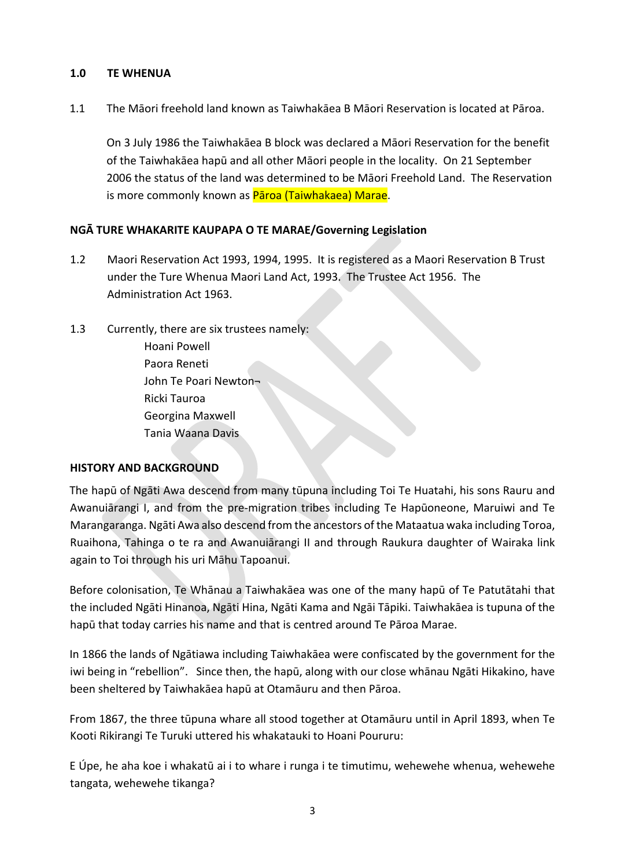## **1.0 TE WHENUA**

1.1 The Māori freehold land known as Taiwhakāea B Māori Reservation is located at Pāroa.

On 3 July 1986 the Taiwhakāea B block was declared a Māori Reservation for the benefit of the Taiwhakāea hapū and all other Māori people in the locality. On 21 September 2006 the status of the land was determined to be Māori Freehold Land. The Reservation is more commonly known as Paroa (Taiwhakaea) Marae.

## **NGĀ TURE WHAKARITE KAUPAPA O TE MARAE/Governing Legislation**

- 1.2 Maori Reservation Act 1993, 1994, 1995. It is registered as a Maori Reservation B Trust under the Ture Whenua Maori Land Act, 1993. The Trustee Act 1956. The Administration Act 1963.
- 1.3 Currently, there are six trustees namely: Hoani Powell Paora Reneti John Te Poari Newton¬ Ricki Tauroa Georgina Maxwell Tania Waana Davis

## **HISTORY AND BACKGROUND**

The hapū of Ngāti Awa descend from many tūpuna including Toi Te Huatahi, his sons Rauru and Awanuiārangi I, and from the pre-migration tribes including Te Hapūoneone, Maruiwi and Te Marangaranga. Ngāti Awa also descend from the ancestors of the Mataatua waka including Toroa, Ruaihona, Tahinga o te ra and Awanuiārangi II and through Raukura daughter of Wairaka link again to Toi through his uri Māhu Tapoanui.

Before colonisation, Te Whānau a Taiwhakāea was one of the many hapū of Te Patutātahi that the included Ngāti Hinanoa, Ngāti Hina, Ngāti Kama and Ngāi Tāpiki. Taiwhakāea is tupuna of the hapū that today carries his name and that is centred around Te Pāroa Marae.

In 1866 the lands of Ngātiawa including Taiwhakāea were confiscated by the government for the iwi being in "rebellion". Since then, the hapū, along with our close whānau Ngāti Hikakino, have been sheltered by Taiwhakāea hapū at Otamāuru and then Pāroa.

From 1867, the three tūpuna whare all stood together at Otamāuru until in April 1893, when Te Kooti Rikirangi Te Turuki uttered his whakatauki to Hoani Poururu:

E Úpe, he aha koe i whakatū ai i to whare i runga i te timutimu, wehewehe whenua, wehewehe tangata, wehewehe tikanga?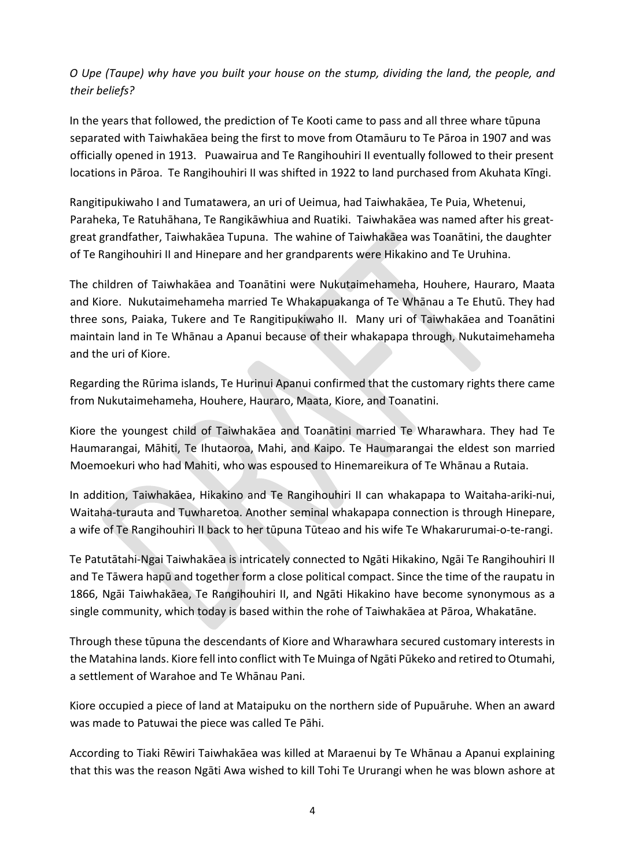## *O Upe (Taupe) why have you built your house on the stump, dividing the land, the people, and their beliefs?*

In the years that followed, the prediction of Te Kooti came to pass and all three whare tūpuna separated with Taiwhakāea being the first to move from Otamāuru to Te Pāroa in 1907 and was officially opened in 1913. Puawairua and Te Rangihouhiri II eventually followed to their present locations in Pāroa. Te Rangihouhiri II was shifted in 1922 to land purchased from Akuhata Kīngi.

Rangitipukiwaho I and Tumatawera, an uri of Ueimua, had Taiwhakāea, Te Puia, Whetenui, Paraheka, Te Ratuhāhana, Te Rangikāwhiua and Ruatiki. Taiwhakāea was named after his greatgreat grandfather, Taiwhakāea Tupuna. The wahine of Taiwhakāea was Toanātini, the daughter of Te Rangihouhiri II and Hinepare and her grandparents were Hikakino and Te Uruhina.

The children of Taiwhakāea and Toanātini were Nukutaimehameha, Houhere, Hauraro, Maata and Kiore. Nukutaimehameha married Te Whakapuakanga of Te Whānau a Te Ehutū. They had three sons, Paiaka, Tukere and Te Rangitipukiwaho II. Many uri of Taiwhakāea and Toanātini maintain land in Te Whānau a Apanui because of their whakapapa through, Nukutaimehameha and the uri of Kiore.

Regarding the Rūrima islands, Te Hurinui Apanui confirmed that the customary rights there came from Nukutaimehameha, Houhere, Hauraro, Maata, Kiore, and Toanatini.

Kiore the youngest child of Taiwhakāea and Toanātini married Te Wharawhara. They had Te Haumarangai, Māhiti, Te Ihutaoroa, Mahi, and Kaipo. Te Haumarangai the eldest son married Moemoekuri who had Mahiti, who was espoused to Hinemareikura of Te Whānau a Rutaia.

In addition, Taiwhakāea, Hikakino and Te Rangihouhiri II can whakapapa to Waitaha-ariki-nui, Waitaha-turauta and Tuwharetoa. Another seminal whakapapa connection is through Hinepare, a wife of Te Rangihouhiri II back to her tūpuna Tūteao and his wife Te Whakarurumai-o-te-rangi.

Te Patutātahi-Ngai Taiwhakāea is intricately connected to Ngāti Hikakino, Ngāi Te Rangihouhiri II and Te Tāwera hapū and together form a close political compact. Since the time of the raupatu in 1866, Ngāi Taiwhakāea, Te Rangihouhiri II, and Ngāti Hikakino have become synonymous as a single community, which today is based within the rohe of Taiwhakāea at Pāroa, Whakatāne.

Through these tūpuna the descendants of Kiore and Wharawhara secured customary interests in the Matahina lands. Kiore fell into conflict with Te Muinga of Ngāti Pūkeko and retired to Otumahi, a settlement of Warahoe and Te Whānau Pani.

Kiore occupied a piece of land at Mataipuku on the northern side of Pupuāruhe. When an award was made to Patuwai the piece was called Te Pāhi.

According to Tiaki Rēwiri Taiwhakāea was killed at Maraenui by Te Whānau a Apanui explaining that this was the reason Ngāti Awa wished to kill Tohi Te Ururangi when he was blown ashore at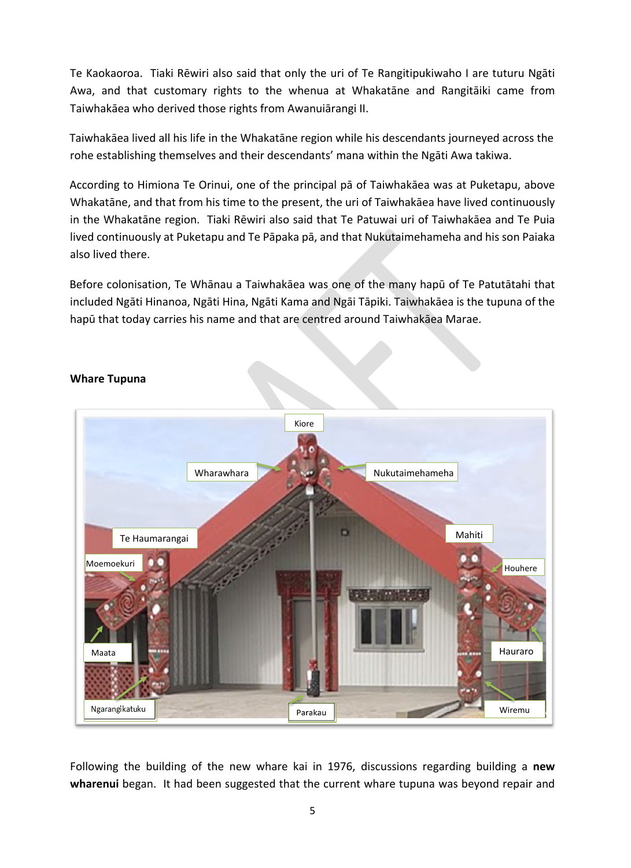Te Kaokaoroa. Tiaki Rēwiri also said that only the uri of Te Rangitipukiwaho I are tuturu Ngāti Awa, and that customary rights to the whenua at Whakatāne and Rangitāiki came from Taiwhakāea who derived those rights from Awanuiārangi II.

Taiwhakāea lived all his life in the Whakatāne region while his descendants journeyed across the rohe establishing themselves and their descendants' mana within the Ngāti Awa takiwa.

According to Himiona Te Orinui, one of the principal pā of Taiwhakāea was at Puketapu, above Whakatāne, and that from his time to the present, the uri of Taiwhakāea have lived continuously in the Whakatāne region. Tiaki Rēwiri also said that Te Patuwai uri of Taiwhakāea and Te Puia lived continuously at Puketapu and Te Pāpaka pā, and that Nukutaimehameha and his son Paiaka also lived there.

Before colonisation, Te Whānau a Taiwhakāea was one of the many hapū of Te Patutātahi that included Ngāti Hinanoa, Ngāti Hina, Ngāti Kama and Ngāi Tāpiki. Taiwhakāea is the tupuna of the hapū that today carries his name and that are centred around Taiwhakāea Marae.



## **Whare Tupuna**

Following the building of the new whare kai in 1976, discussions regarding building a **new wharenui** began. It had been suggested that the current whare tupuna was beyond repair and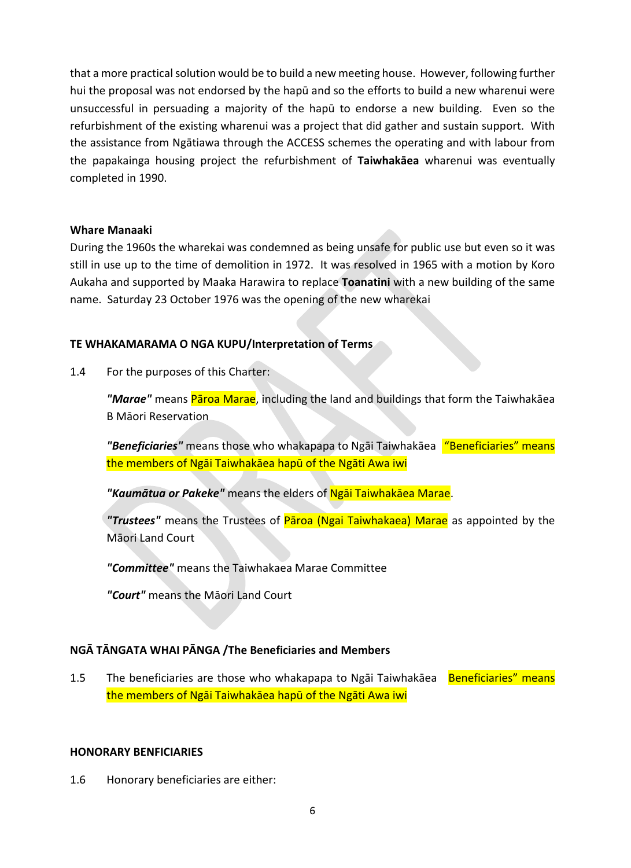that a more practical solution would be to build a new meeting house. However, following further hui the proposal was not endorsed by the hapū and so the efforts to build a new wharenui were unsuccessful in persuading a majority of the hapū to endorse a new building. Even so the refurbishment of the existing wharenui was a project that did gather and sustain support. With the assistance from Ngātiawa through the ACCESS schemes the operating and with labour from the papakainga housing project the refurbishment of **Taiwhakāea** wharenui was eventually completed in 1990.

## **Whare Manaaki**

During the 1960s the wharekai was condemned as being unsafe for public use but even so it was still in use up to the time of demolition in 1972. It was resolved in 1965 with a motion by Koro Aukaha and supported by Maaka Harawira to replace **Toanatini** with a new building of the same name. Saturday 23 October 1976 was the opening of the new wharekai

## **TE WHAKAMARAMA O NGA KUPU/Interpretation of Terms**

1.4 For the purposes of this Charter:

*"Marae"* means Pāroa Marae, including the land and buildings that form the Taiwhakāea B Māori Reservation

*"Beneficiaries"* means those who whakapapa to Ngāi Taiwhakāea "Beneficiaries" means the members of Ngāi Taiwhakāea hapū of the Ngāti Awa iwi

*"Kaumātua or Pakeke"* means the elders of Ngāi Taiwhakāea Marae.

*"Trustees"* means the Trustees of Pāroa (Ngai Taiwhakaea) Marae as appointed by the Māori Land Court

*"Committee"* means the Taiwhakaea Marae Committee

*"Court"* means the Māori Land Court

## **NGĀ TĀNGATA WHAI PĀNGA /The Beneficiaries and Members**

1.5 The beneficiaries are those who whakapapa to Ngāi Taiwhakāea Beneficiaries" means the members of Ngāi Taiwhakāea hapū of the Ngāti Awa iwi

## **HONORARY BENFICIARIES**

1.6 Honorary beneficiaries are either: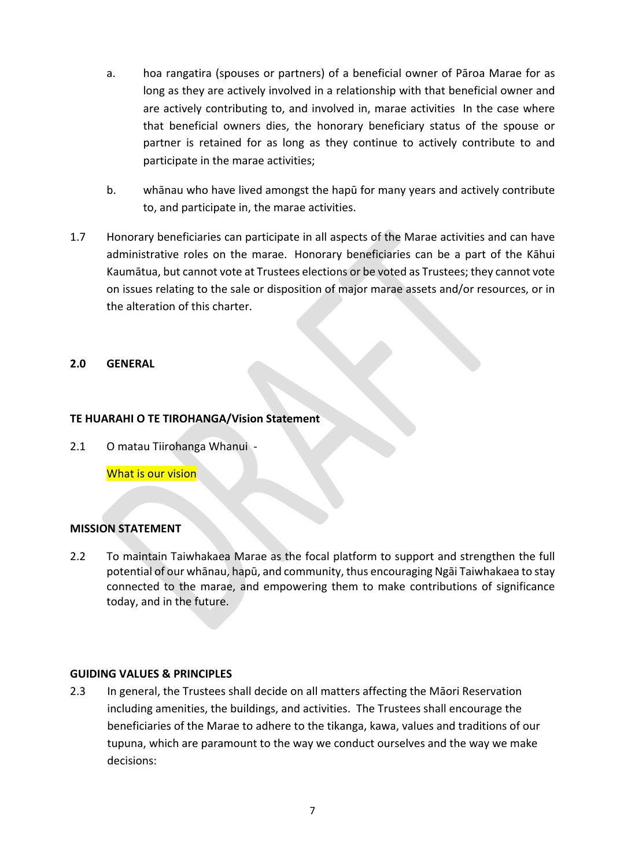- a. hoa rangatira (spouses or partners) of a beneficial owner of Pāroa Marae for as long as they are actively involved in a relationship with that beneficial owner and are actively contributing to, and involved in, marae activities In the case where that beneficial owners dies, the honorary beneficiary status of the spouse or partner is retained for as long as they continue to actively contribute to and participate in the marae activities;
- b. whānau who have lived amongst the hapū for many years and actively contribute to, and participate in, the marae activities.
- 1.7 Honorary beneficiaries can participate in all aspects of the Marae activities and can have administrative roles on the marae. Honorary beneficiaries can be a part of the Kāhui Kaumātua, but cannot vote at Trustees elections or be voted as Trustees; they cannot vote on issues relating to the sale or disposition of major marae assets and/or resources, or in the alteration of this charter.

## **2.0 GENERAL**

## **TE HUARAHI O TE TIROHANGA/Vision Statement**

2.1 O matau Tiirohanga Whanui -

What is our vision

## **MISSION STATEMENT**

2.2 To maintain Taiwhakaea Marae as the focal platform to support and strengthen the full potential of our whānau, hapū, and community, thus encouraging Ngāi Taiwhakaea to stay connected to the marae, and empowering them to make contributions of significance today, and in the future.

#### **GUIDING VALUES & PRINCIPLES**

2.3 In general, the Trustees shall decide on all matters affecting the Māori Reservation including amenities, the buildings, and activities. The Trustees shall encourage the beneficiaries of the Marae to adhere to the tikanga, kawa, values and traditions of our tupuna, which are paramount to the way we conduct ourselves and the way we make decisions: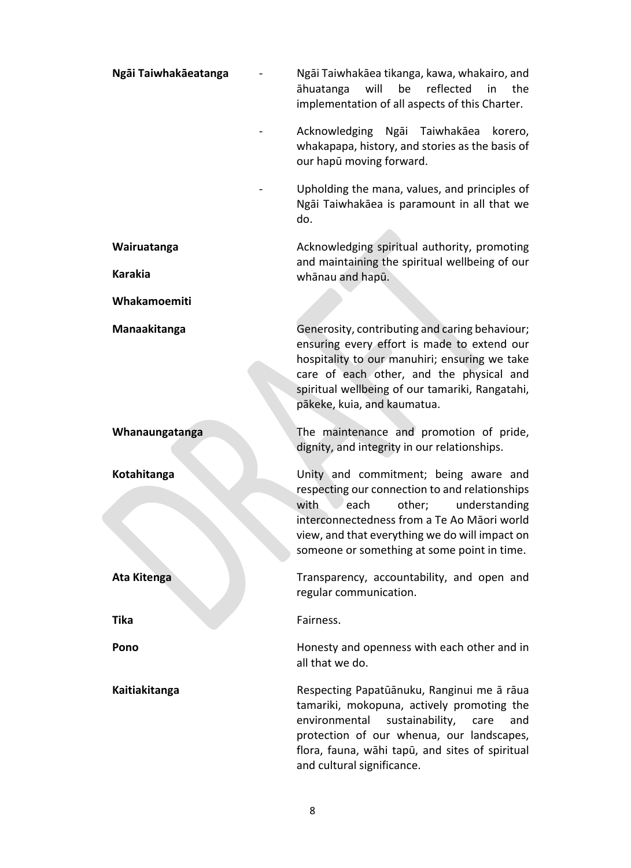| Ngāi Taiwhakāeatanga | Ngāi Taiwhakāea tikanga, kawa, whakairo, and<br>reflected<br>will<br>be<br>the<br>āhuatanga<br>in<br>implementation of all aspects of this Charter.                                                                                                                                |
|----------------------|------------------------------------------------------------------------------------------------------------------------------------------------------------------------------------------------------------------------------------------------------------------------------------|
|                      | Acknowledging Ngai Taiwhakaea<br>korero,<br>whakapapa, history, and stories as the basis of<br>our hapū moving forward.                                                                                                                                                            |
|                      | Upholding the mana, values, and principles of<br>Ngāi Taiwhakāea is paramount in all that we<br>do.                                                                                                                                                                                |
| Wairuatanga          | Acknowledging spiritual authority, promoting                                                                                                                                                                                                                                       |
| <b>Karakia</b>       | and maintaining the spiritual wellbeing of our<br>whānau and hapū.                                                                                                                                                                                                                 |
| Whakamoemiti         |                                                                                                                                                                                                                                                                                    |
| Manaakitanga         | Generosity, contributing and caring behaviour;<br>ensuring every effort is made to extend our<br>hospitality to our manuhiri; ensuring we take<br>care of each other, and the physical and<br>spiritual wellbeing of our tamariki, Rangatahi,<br>pākeke, kuia, and kaumatua.       |
| Whanaungatanga       | The maintenance and promotion of pride,<br>dignity, and integrity in our relationships.                                                                                                                                                                                            |
| Kotahitanga          | Unity and commitment; being aware and<br>respecting our connection to and relationships<br>with<br>other;<br>understanding<br>each<br>interconnectedness from a Te Ao Māori world<br>view, and that everything we do will impact on<br>someone or something at some point in time. |
| <b>Ata Kitenga</b>   | Transparency, accountability, and open and<br>regular communication.                                                                                                                                                                                                               |
| <b>Tika</b>          | Fairness.                                                                                                                                                                                                                                                                          |
| Pono                 | Honesty and openness with each other and in<br>all that we do.                                                                                                                                                                                                                     |
| Kaitiakitanga        | Respecting Papatūānuku, Ranginui me ā rāua<br>tamariki, mokopuna, actively promoting the<br>environmental<br>sustainability,<br>care<br>and<br>protection of our whenua, our landscapes,<br>flora, fauna, wāhi tapū, and sites of spiritual<br>and cultural significance.          |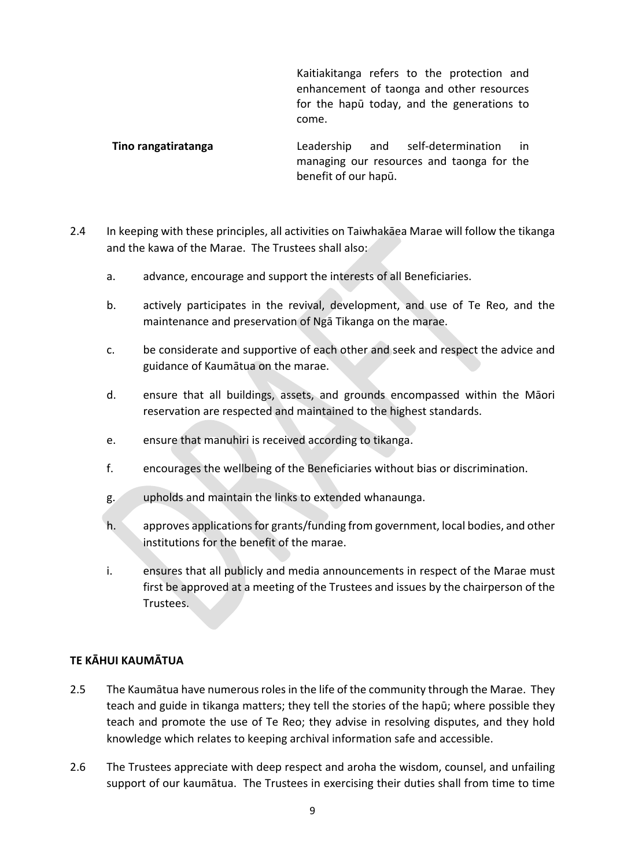Kaitiakitanga refers to the protection and enhancement of taonga and other resources for the hapū today, and the generations to come.

**Tino rangatiratanga** Leadership and self-determination in managing our resources and taonga for the benefit of our hapū.

- 2.4 In keeping with these principles, all activities on Taiwhakāea Marae will follow the tikanga and the kawa of the Marae. The Trustees shall also:
	- a. advance, encourage and support the interests of all Beneficiaries.
	- b. actively participates in the revival, development, and use of Te Reo, and the maintenance and preservation of Ngā Tikanga on the marae.
	- c. be considerate and supportive of each other and seek and respect the advice and guidance of Kaumātua on the marae.
	- d. ensure that all buildings, assets, and grounds encompassed within the Māori reservation are respected and maintained to the highest standards.
	- e. ensure that manuhiri is received according to tikanga.
	- f. encourages the wellbeing of the Beneficiaries without bias or discrimination.
	- g. upholds and maintain the links to extended whanaunga.
	- h. approves applications for grants/funding from government, local bodies, and other institutions for the benefit of the marae.
	- i. ensures that all publicly and media announcements in respect of the Marae must first be approved at a meeting of the Trustees and issues by the chairperson of the Trustees.

## **TE KĀHUI KAUMĀTUA**

- 2.5 The Kaumātua have numerous roles in the life of the community through the Marae. They teach and guide in tikanga matters; they tell the stories of the hapū; where possible they teach and promote the use of Te Reo; they advise in resolving disputes, and they hold knowledge which relates to keeping archival information safe and accessible.
- 2.6 The Trustees appreciate with deep respect and aroha the wisdom, counsel, and unfailing support of our kaumātua. The Trustees in exercising their duties shall from time to time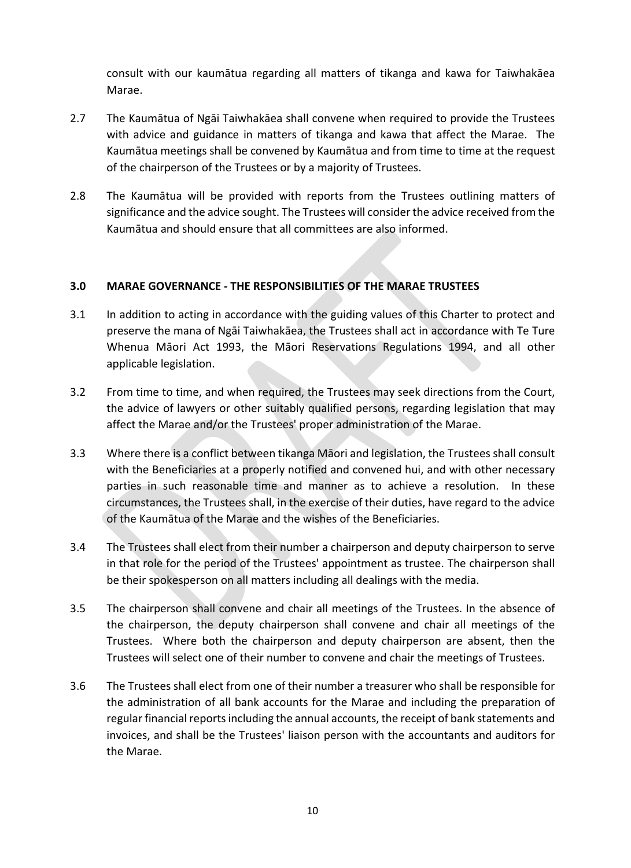consult with our kaumātua regarding all matters of tikanga and kawa for Taiwhakāea Marae.

- 2.7 The Kaumātua of Ngāi Taiwhakāea shall convene when required to provide the Trustees with advice and guidance in matters of tikanga and kawa that affect the Marae. The Kaumātua meetings shall be convened by Kaumātua and from time to time at the request of the chairperson of the Trustees or by a majority of Trustees.
- 2.8 The Kaumātua will be provided with reports from the Trustees outlining matters of significance and the advice sought. The Trustees will consider the advice received from the Kaumātua and should ensure that all committees are also informed.

## **3.0 MARAE GOVERNANCE - THE RESPONSIBILITIES OF THE MARAE TRUSTEES**

- 3.1 In addition to acting in accordance with the guiding values of this Charter to protect and preserve the mana of Ngāi Taiwhakāea, the Trustees shall act in accordance with Te Ture Whenua Māori Act 1993, the Māori Reservations Regulations 1994, and all other applicable legislation.
- 3.2 From time to time, and when required, the Trustees may seek directions from the Court, the advice of lawyers or other suitably qualified persons, regarding legislation that may affect the Marae and/or the Trustees' proper administration of the Marae.
- 3.3 Where there is a conflict between tikanga Māori and legislation, the Trustees shall consult with the Beneficiaries at a properly notified and convened hui, and with other necessary parties in such reasonable time and manner as to achieve a resolution. In these circumstances, the Trustees shall, in the exercise of their duties, have regard to the advice of the Kaumātua of the Marae and the wishes of the Beneficiaries.
- 3.4 The Trustees shall elect from their number a chairperson and deputy chairperson to serve in that role for the period of the Trustees' appointment as trustee. The chairperson shall be their spokesperson on all matters including all dealings with the media.
- 3.5 The chairperson shall convene and chair all meetings of the Trustees. In the absence of the chairperson, the deputy chairperson shall convene and chair all meetings of the Trustees. Where both the chairperson and deputy chairperson are absent, then the Trustees will select one of their number to convene and chair the meetings of Trustees.
- 3.6 The Trustees shall elect from one of their number a treasurer who shall be responsible for the administration of all bank accounts for the Marae and including the preparation of regular financial reports including the annual accounts, the receipt of bank statements and invoices, and shall be the Trustees' liaison person with the accountants and auditors for the Marae.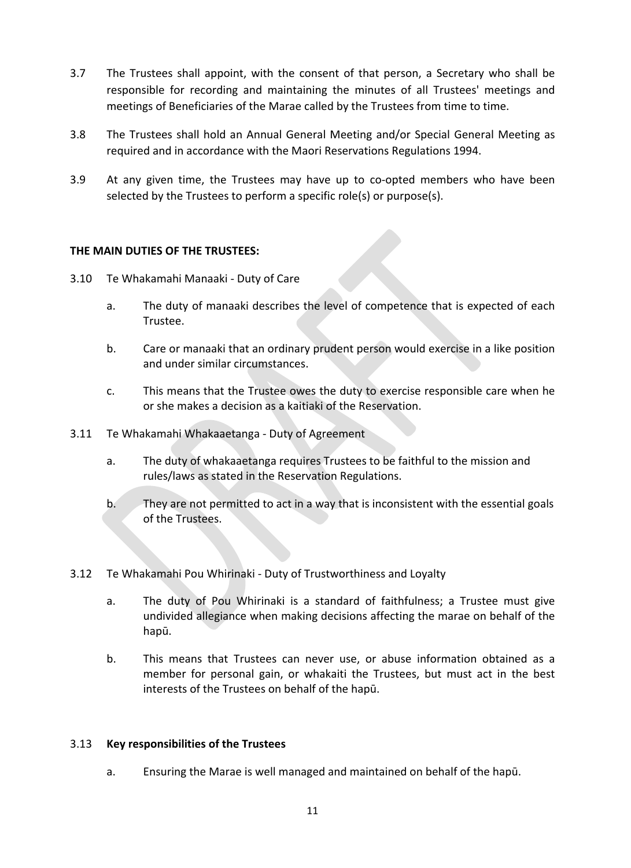- 3.7 The Trustees shall appoint, with the consent of that person, a Secretary who shall be responsible for recording and maintaining the minutes of all Trustees' meetings and meetings of Beneficiaries of the Marae called by the Trustees from time to time.
- 3.8 The Trustees shall hold an Annual General Meeting and/or Special General Meeting as required and in accordance with the Maori Reservations Regulations 1994.
- 3.9 At any given time, the Trustees may have up to co-opted members who have been selected by the Trustees to perform a specific role(s) or purpose(s).

## **THE MAIN DUTIES OF THE TRUSTEES:**

- 3.10 Te Whakamahi Manaaki Duty of Care
	- a. The duty of manaaki describes the level of competence that is expected of each Trustee.
	- b. Care or manaaki that an ordinary prudent person would exercise in a like position and under similar circumstances.
	- c. This means that the Trustee owes the duty to exercise responsible care when he or she makes a decision as a kaitiaki of the Reservation.
- 3.11 Te Whakamahi Whakaaetanga Duty of Agreement
	- a. The duty of whakaaetanga requires Trustees to be faithful to the mission and rules/laws as stated in the Reservation Regulations.
	- b. They are not permitted to act in a way that is inconsistent with the essential goals of the Trustees.

## 3.12 Te Whakamahi Pou Whirinaki - Duty of Trustworthiness and Loyalty

- a. The duty of Pou Whirinaki is a standard of faithfulness; a Trustee must give undivided allegiance when making decisions affecting the marae on behalf of the hapū.
- b. This means that Trustees can never use, or abuse information obtained as a member for personal gain, or whakaiti the Trustees, but must act in the best interests of the Trustees on behalf of the hapū.

## 3.13 **Key responsibilities of the Trustees**

a. Ensuring the Marae is well managed and maintained on behalf of the hapū.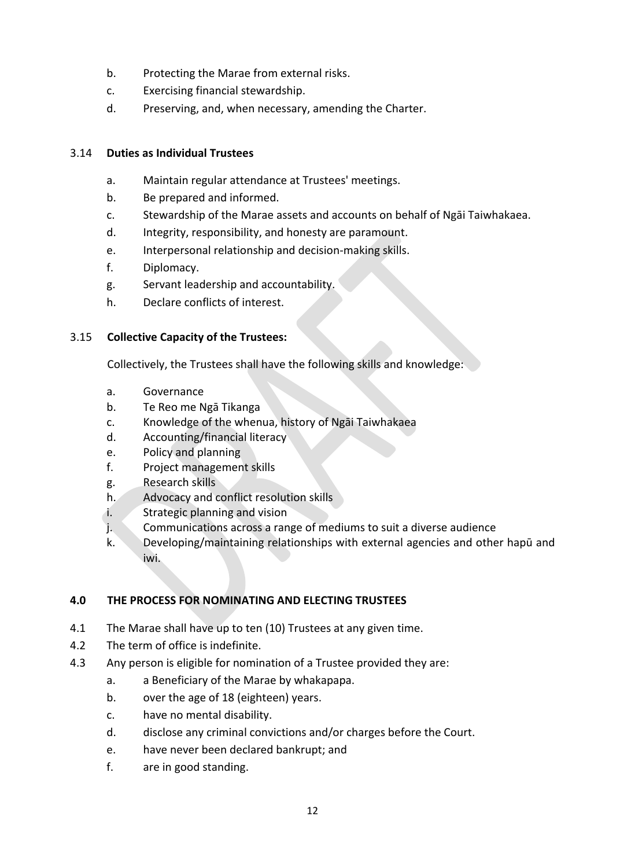- b. Protecting the Marae from external risks.
- c. Exercising financial stewardship.
- d. Preserving, and, when necessary, amending the Charter.

## 3.14 **Duties as Individual Trustees**

- a. Maintain regular attendance at Trustees' meetings.
- b. Be prepared and informed.
- c. Stewardship of the Marae assets and accounts on behalf of Ngāi Taiwhakaea.
- d. Integrity, responsibility, and honesty are paramount.
- e. Interpersonal relationship and decision-making skills.
- f. Diplomacy.
- g. Servant leadership and accountability.
- h. Declare conflicts of interest.

## 3.15 **Collective Capacity of the Trustees:**

Collectively, the Trustees shall have the following skills and knowledge:

- a. Governance
- b. Te Reo me Ngā Tikanga
- c. Knowledge of the whenua, history of Ngāi Taiwhakaea
- d. Accounting/financial literacy
- e. Policy and planning
- f. Project management skills
- g. Research skills
- h. Advocacy and conflict resolution skills
- i. Strategic planning and vision
- j. Communications across a range of mediums to suit a diverse audience
- k. Developing/maintaining relationships with external agencies and other hapū and iwi.

## **4.0 THE PROCESS FOR NOMINATING AND ELECTING TRUSTEES**

- 4.1 The Marae shall have up to ten (10) Trustees at any given time.
- 4.2 The term of office is indefinite.
- 4.3 Any person is eligible for nomination of a Trustee provided they are:
	- a. a Beneficiary of the Marae by whakapapa.
	- b. over the age of 18 (eighteen) years.
	- c. have no mental disability.
	- d. disclose any criminal convictions and/or charges before the Court.
	- e. have never been declared bankrupt; and
	- f. are in good standing.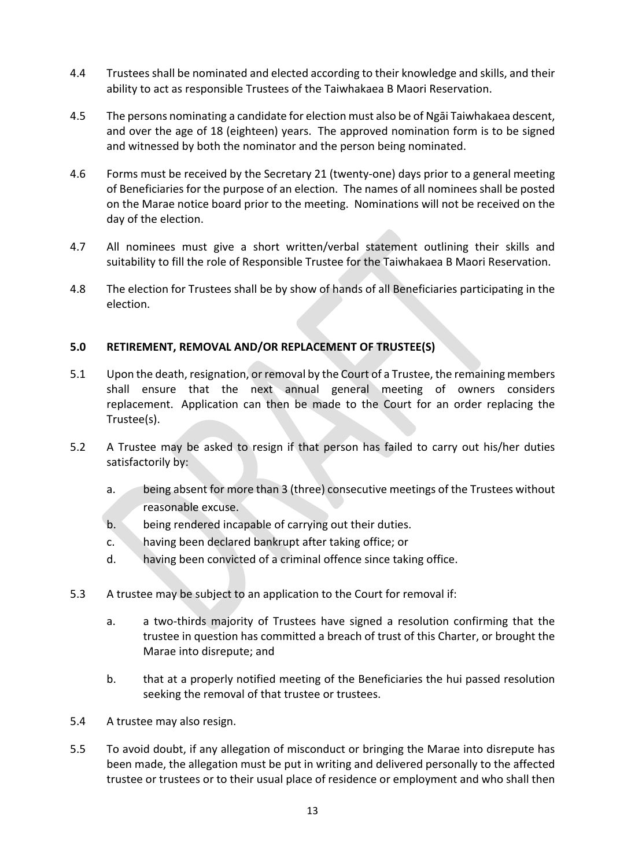- 4.4 Trustees shall be nominated and elected according to their knowledge and skills, and their ability to act as responsible Trustees of the Taiwhakaea B Maori Reservation.
- 4.5 The persons nominating a candidate for election must also be of Ngāi Taiwhakaea descent, and over the age of 18 (eighteen) years. The approved nomination form is to be signed and witnessed by both the nominator and the person being nominated.
- 4.6 Forms must be received by the Secretary 21 (twenty-one) days prior to a general meeting of Beneficiaries for the purpose of an election. The names of all nominees shall be posted on the Marae notice board prior to the meeting. Nominations will not be received on the day of the election.
- 4.7 All nominees must give a short written/verbal statement outlining their skills and suitability to fill the role of Responsible Trustee for the Taiwhakaea B Maori Reservation.
- 4.8 The election for Trustees shall be by show of hands of all Beneficiaries participating in the election.

## **5.0 RETIREMENT, REMOVAL AND/OR REPLACEMENT OF TRUSTEE(S)**

- 5.1 Upon the death, resignation, or removal by the Court of a Trustee, the remaining members shall ensure that the next annual general meeting of owners considers replacement. Application can then be made to the Court for an order replacing the Trustee(s).
- 5.2 A Trustee may be asked to resign if that person has failed to carry out his/her duties satisfactorily by:
	- a. being absent for more than 3 (three) consecutive meetings of the Trustees without reasonable excuse.
	- b. being rendered incapable of carrying out their duties.
	- c. having been declared bankrupt after taking office; or
	- d. having been convicted of a criminal offence since taking office.
- 5.3 A trustee may be subject to an application to the Court for removal if:
	- a. a two-thirds majority of Trustees have signed a resolution confirming that the trustee in question has committed a breach of trust of this Charter, or brought the Marae into disrepute; and
	- b. that at a properly notified meeting of the Beneficiaries the hui passed resolution seeking the removal of that trustee or trustees.
- 5.4 A trustee may also resign.
- 5.5 To avoid doubt, if any allegation of misconduct or bringing the Marae into disrepute has been made, the allegation must be put in writing and delivered personally to the affected trustee or trustees or to their usual place of residence or employment and who shall then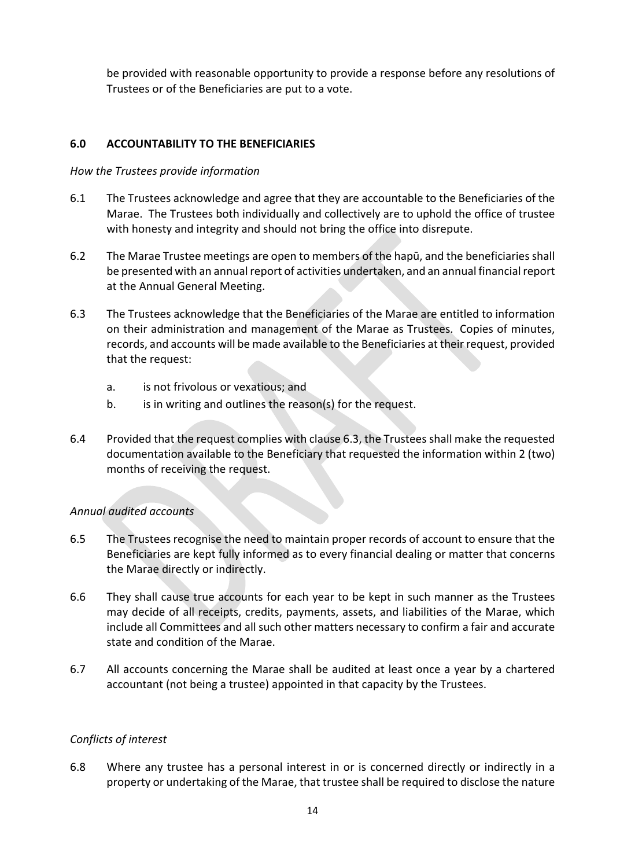be provided with reasonable opportunity to provide a response before any resolutions of Trustees or of the Beneficiaries are put to a vote.

## **6.0 ACCOUNTABILITY TO THE BENEFICIARIES**

## *How the Trustees provide information*

- 6.1 The Trustees acknowledge and agree that they are accountable to the Beneficiaries of the Marae. The Trustees both individually and collectively are to uphold the office of trustee with honesty and integrity and should not bring the office into disrepute.
- 6.2 The Marae Trustee meetings are open to members of the hapū, and the beneficiaries shall be presented with an annual report of activities undertaken, and an annual financial report at the Annual General Meeting.
- 6.3 The Trustees acknowledge that the Beneficiaries of the Marae are entitled to information on their administration and management of the Marae as Trustees. Copies of minutes, records, and accounts will be made available to the Beneficiaries at their request, provided that the request:
	- a. is not frivolous or vexatious; and
	- b. is in writing and outlines the reason(s) for the request.
- 6.4 Provided that the request complies with clause 6.3, the Trustees shall make the requested documentation available to the Beneficiary that requested the information within 2 (two) months of receiving the request.

## *Annual audited accounts*

- 6.5 The Trustees recognise the need to maintain proper records of account to ensure that the Beneficiaries are kept fully informed as to every financial dealing or matter that concerns the Marae directly or indirectly.
- 6.6 They shall cause true accounts for each year to be kept in such manner as the Trustees may decide of all receipts, credits, payments, assets, and liabilities of the Marae, which include all Committees and all such other matters necessary to confirm a fair and accurate state and condition of the Marae.
- 6.7 All accounts concerning the Marae shall be audited at least once a year by a chartered accountant (not being a trustee) appointed in that capacity by the Trustees.

## *Conflicts of interest*

6.8 Where any trustee has a personal interest in or is concerned directly or indirectly in a property or undertaking of the Marae, that trustee shall be required to disclose the nature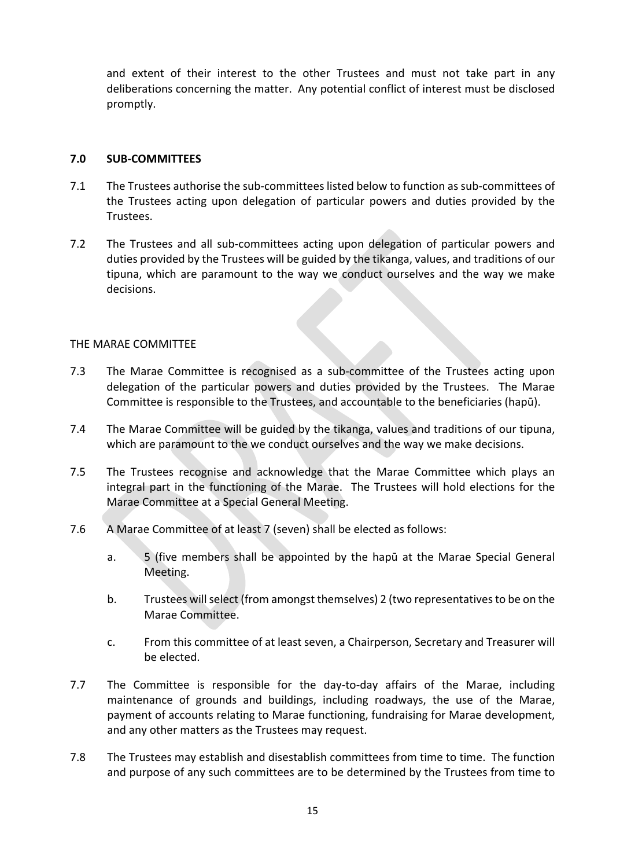and extent of their interest to the other Trustees and must not take part in any deliberations concerning the matter. Any potential conflict of interest must be disclosed promptly.

#### **7.0 SUB-COMMITTEES**

- 7.1 The Trustees authorise the sub-committees listed below to function as sub-committees of the Trustees acting upon delegation of particular powers and duties provided by the Trustees.
- 7.2 The Trustees and all sub-committees acting upon delegation of particular powers and duties provided by the Trustees will be guided by the tikanga, values, and traditions of our tipuna, which are paramount to the way we conduct ourselves and the way we make decisions.

#### THE MARAE COMMITTEE

- 7.3 The Marae Committee is recognised as a sub-committee of the Trustees acting upon delegation of the particular powers and duties provided by the Trustees. The Marae Committee is responsible to the Trustees, and accountable to the beneficiaries (hapū).
- 7.4 The Marae Committee will be guided by the tikanga, values and traditions of our tipuna, which are paramount to the we conduct ourselves and the way we make decisions.
- 7.5 The Trustees recognise and acknowledge that the Marae Committee which plays an integral part in the functioning of the Marae. The Trustees will hold elections for the Marae Committee at a Special General Meeting.
- 7.6 A Marae Committee of at least 7 (seven) shall be elected as follows:
	- a. 5 (five members shall be appointed by the hapū at the Marae Special General Meeting.
	- b. Trustees will select (from amongst themselves) 2 (two representatives to be on the Marae Committee.
	- c. From this committee of at least seven, a Chairperson, Secretary and Treasurer will be elected.
- 7.7 The Committee is responsible for the day-to-day affairs of the Marae, including maintenance of grounds and buildings, including roadways, the use of the Marae, payment of accounts relating to Marae functioning, fundraising for Marae development, and any other matters as the Trustees may request.
- 7.8 The Trustees may establish and disestablish committees from time to time. The function and purpose of any such committees are to be determined by the Trustees from time to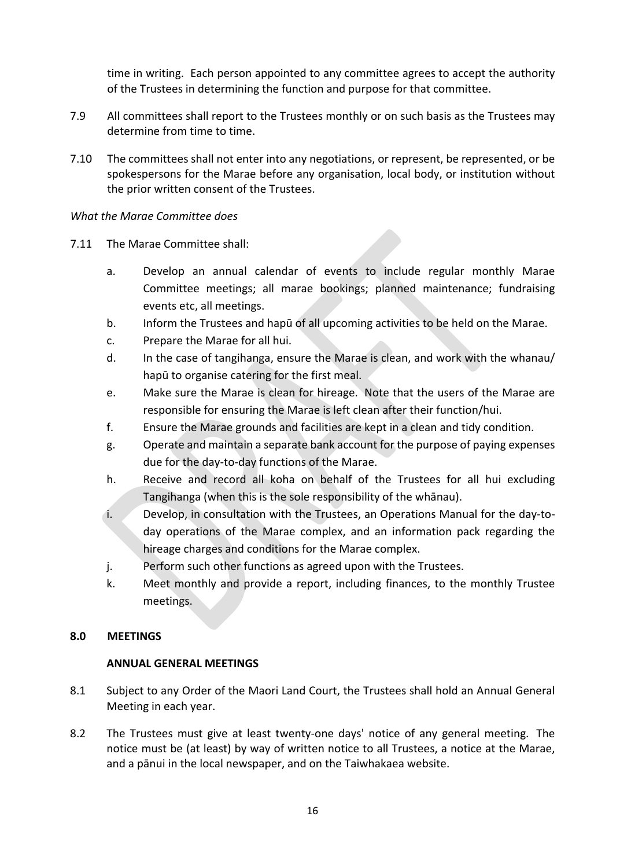time in writing. Each person appointed to any committee agrees to accept the authority of the Trustees in determining the function and purpose for that committee.

- 7.9 All committees shall report to the Trustees monthly or on such basis as the Trustees may determine from time to time.
- 7.10 The committees shall not enter into any negotiations, or represent, be represented, or be spokespersons for the Marae before any organisation, local body, or institution without the prior written consent of the Trustees.

## *What the Marae Committee does*

- 7.11 The Marae Committee shall:
	- a. Develop an annual calendar of events to include regular monthly Marae Committee meetings; all marae bookings; planned maintenance; fundraising events etc, all meetings.
	- b. Inform the Trustees and hapū of all upcoming activities to be held on the Marae.
	- c. Prepare the Marae for all hui.
	- d. In the case of tangihanga, ensure the Marae is clean, and work with the whanau/ hapū to organise catering for the first meal.
	- e. Make sure the Marae is clean for hireage. Note that the users of the Marae are responsible for ensuring the Marae is left clean after their function/hui.
	- f. Ensure the Marae grounds and facilities are kept in a clean and tidy condition.
	- g. Operate and maintain a separate bank account for the purpose of paying expenses due for the day-to-day functions of the Marae.
	- h. Receive and record all koha on behalf of the Trustees for all hui excluding Tangihanga (when this is the sole responsibility of the whānau).
	- i. Develop, in consultation with the Trustees, an Operations Manual for the day-today operations of the Marae complex, and an information pack regarding the hireage charges and conditions for the Marae complex.
	- j. Perform such other functions as agreed upon with the Trustees.
	- k. Meet monthly and provide a report, including finances, to the monthly Trustee meetings.

## **8.0 MEETINGS**

## **ANNUAL GENERAL MEETINGS**

- 8.1 Subject to any Order of the Maori Land Court, the Trustees shall hold an Annual General Meeting in each year.
- 8.2 The Trustees must give at least twenty-one days' notice of any general meeting. The notice must be (at least) by way of written notice to all Trustees, a notice at the Marae, and a pānui in the local newspaper, and on the Taiwhakaea website.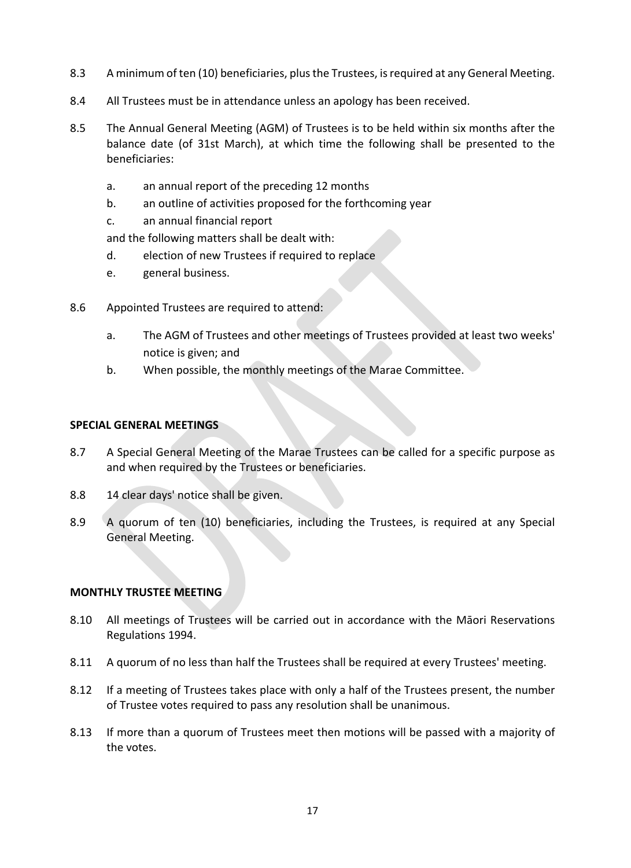- 8.3 A minimum of ten (10) beneficiaries, plus the Trustees, is required at any General Meeting.
- 8.4 All Trustees must be in attendance unless an apology has been received.
- 8.5 The Annual General Meeting (AGM) of Trustees is to be held within six months after the balance date (of 31st March), at which time the following shall be presented to the beneficiaries:
	- a. an annual report of the preceding 12 months
	- b. an outline of activities proposed for the forthcoming year
	- c. an annual financial report

and the following matters shall be dealt with:

- d. election of new Trustees if required to replace
- e. general business.
- 8.6 Appointed Trustees are required to attend:
	- a. The AGM of Trustees and other meetings of Trustees provided at least two weeks' notice is given; and
	- b. When possible, the monthly meetings of the Marae Committee.

#### **SPECIAL GENERAL MEETINGS**

- 8.7 A Special General Meeting of the Marae Trustees can be called for a specific purpose as and when required by the Trustees or beneficiaries.
- 8.8 14 clear days' notice shall be given.
- 8.9 A quorum of ten (10) beneficiaries, including the Trustees, is required at any Special General Meeting.

## **MONTHLY TRUSTEE MEETING**

- 8.10 All meetings of Trustees will be carried out in accordance with the Māori Reservations Regulations 1994.
- 8.11 A quorum of no less than half the Trustees shall be required at every Trustees' meeting.
- 8.12 If a meeting of Trustees takes place with only a half of the Trustees present, the number of Trustee votes required to pass any resolution shall be unanimous.
- 8.13 If more than a quorum of Trustees meet then motions will be passed with a majority of the votes.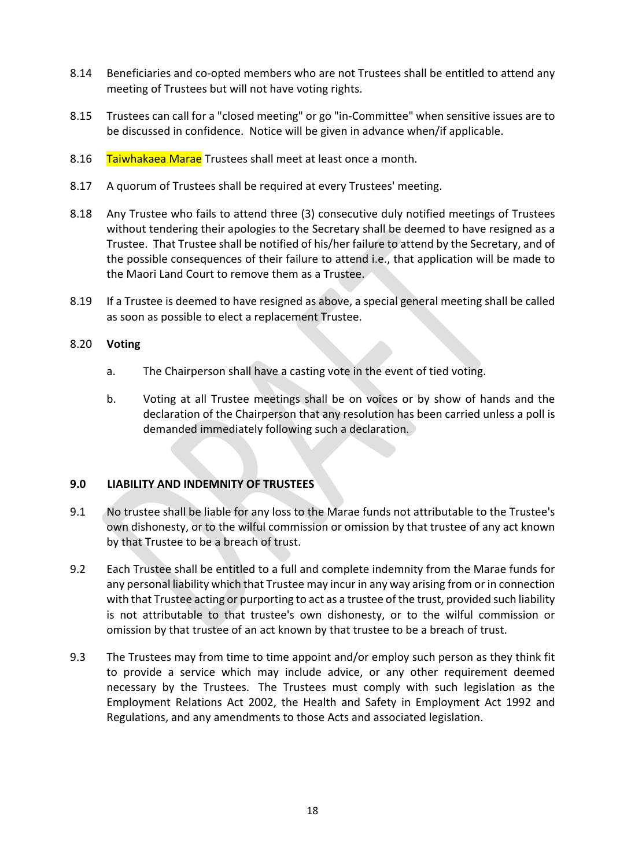- 8.14 Beneficiaries and co-opted members who are not Trustees shall be entitled to attend any meeting of Trustees but will not have voting rights.
- 8.15 Trustees can call for a "closed meeting" or go "in-Committee" when sensitive issues are to be discussed in confidence. Notice will be given in advance when/if applicable.
- 8.16 Taiwhakaea Marae Trustees shall meet at least once a month.
- 8.17 A quorum of Trustees shall be required at every Trustees' meeting.
- 8.18 Any Trustee who fails to attend three (3) consecutive duly notified meetings of Trustees without tendering their apologies to the Secretary shall be deemed to have resigned as a Trustee. That Trustee shall be notified of his/her failure to attend by the Secretary, and of the possible consequences of their failure to attend i.e., that application will be made to the Maori Land Court to remove them as a Trustee.
- 8.19 If a Trustee is deemed to have resigned as above, a special general meeting shall be called as soon as possible to elect a replacement Trustee.

## 8.20 **Voting**

- a. The Chairperson shall have a casting vote in the event of tied voting.
- b. Voting at all Trustee meetings shall be on voices or by show of hands and the declaration of the Chairperson that any resolution has been carried unless a poll is demanded immediately following such a declaration.

## **9.0 LIABILITY AND INDEMNITY OF TRUSTEES**

- 9.1 No trustee shall be liable for any loss to the Marae funds not attributable to the Trustee's own dishonesty, or to the wilful commission or omission by that trustee of any act known by that Trustee to be a breach of trust.
- 9.2 Each Trustee shall be entitled to a full and complete indemnity from the Marae funds for any personal liability which that Trustee may incur in any way arising from or in connection with that Trustee acting or purporting to act as a trustee of the trust, provided such liability is not attributable to that trustee's own dishonesty, or to the wilful commission or omission by that trustee of an act known by that trustee to be a breach of trust.
- 9.3 The Trustees may from time to time appoint and/or employ such person as they think fit to provide a service which may include advice, or any other requirement deemed necessary by the Trustees. The Trustees must comply with such legislation as the Employment Relations Act 2002, the Health and Safety in Employment Act 1992 and Regulations, and any amendments to those Acts and associated legislation.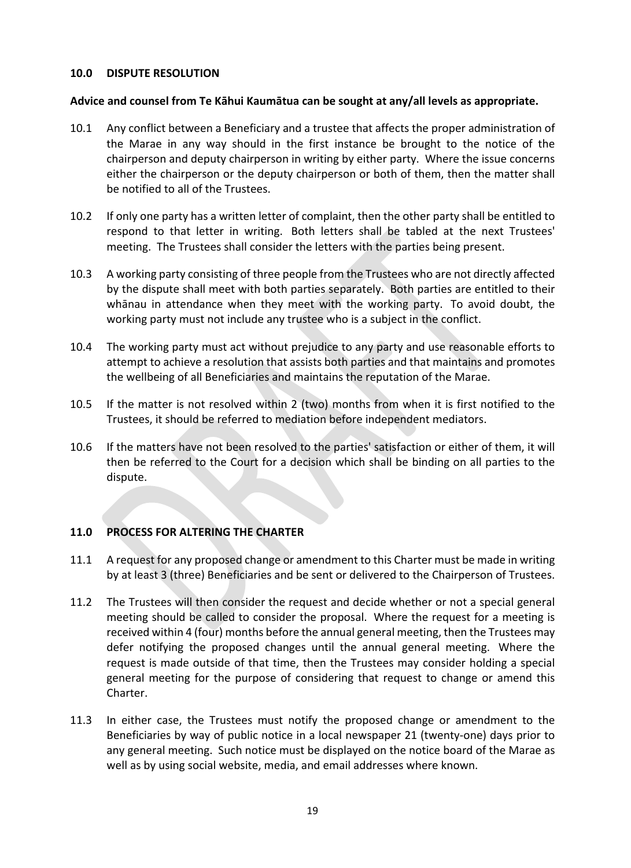## **10.0 DISPUTE RESOLUTION**

## **Advice and counsel from Te Kāhui Kaumātua can be sought at any/all levels as appropriate.**

- 10.1 Any conflict between a Beneficiary and a trustee that affects the proper administration of the Marae in any way should in the first instance be brought to the notice of the chairperson and deputy chairperson in writing by either party. Where the issue concerns either the chairperson or the deputy chairperson or both of them, then the matter shall be notified to all of the Trustees.
- 10.2 If only one party has a written letter of complaint, then the other party shall be entitled to respond to that letter in writing. Both letters shall be tabled at the next Trustees' meeting. The Trustees shall consider the letters with the parties being present.
- 10.3 A working party consisting of three people from the Trustees who are not directly affected by the dispute shall meet with both parties separately. Both parties are entitled to their whānau in attendance when they meet with the working party. To avoid doubt, the working party must not include any trustee who is a subject in the conflict.
- 10.4 The working party must act without prejudice to any party and use reasonable efforts to attempt to achieve a resolution that assists both parties and that maintains and promotes the wellbeing of all Beneficiaries and maintains the reputation of the Marae.
- 10.5 If the matter is not resolved within 2 (two) months from when it is first notified to the Trustees, it should be referred to mediation before independent mediators.
- 10.6 If the matters have not been resolved to the parties' satisfaction or either of them, it will then be referred to the Court for a decision which shall be binding on all parties to the dispute.

## **11.0 PROCESS FOR ALTERING THE CHARTER**

- 11.1 A request for any proposed change or amendment to this Charter must be made in writing by at least 3 (three) Beneficiaries and be sent or delivered to the Chairperson of Trustees.
- 11.2 The Trustees will then consider the request and decide whether or not a special general meeting should be called to consider the proposal. Where the request for a meeting is received within 4 (four) months before the annual general meeting, then the Trustees may defer notifying the proposed changes until the annual general meeting. Where the request is made outside of that time, then the Trustees may consider holding a special general meeting for the purpose of considering that request to change or amend this Charter.
- 11.3 In either case, the Trustees must notify the proposed change or amendment to the Beneficiaries by way of public notice in a local newspaper 21 (twenty-one) days prior to any general meeting. Such notice must be displayed on the notice board of the Marae as well as by using social website, media, and email addresses where known.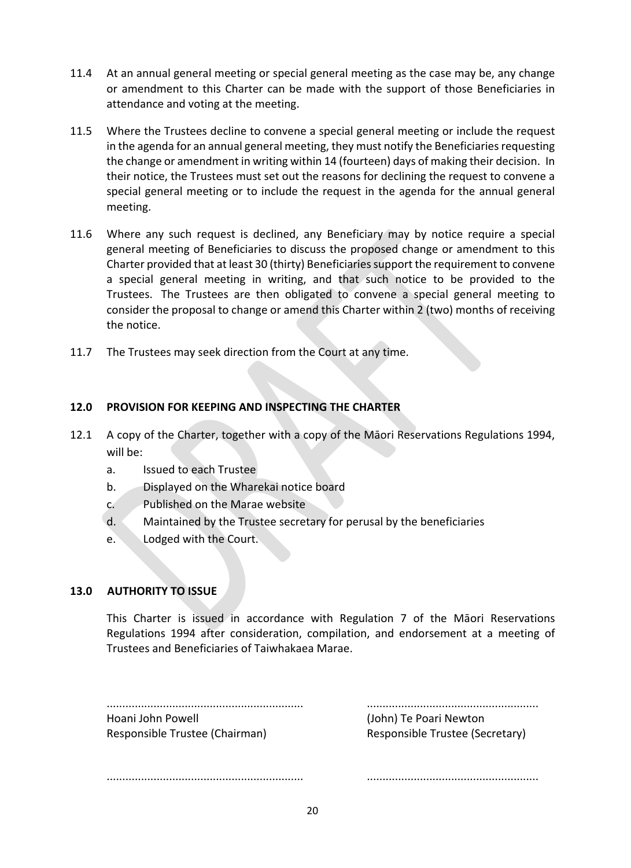- 11.4 At an annual general meeting or special general meeting as the case may be, any change or amendment to this Charter can be made with the support of those Beneficiaries in attendance and voting at the meeting.
- 11.5 Where the Trustees decline to convene a special general meeting or include the request in the agenda for an annual general meeting, they must notify the Beneficiaries requesting the change or amendment in writing within 14 (fourteen) days of making their decision. In their notice, the Trustees must set out the reasons for declining the request to convene a special general meeting or to include the request in the agenda for the annual general meeting.
- 11.6 Where any such request is declined, any Beneficiary may by notice require a special general meeting of Beneficiaries to discuss the proposed change or amendment to this Charter provided that at least 30 (thirty) Beneficiaries support the requirement to convene a special general meeting in writing, and that such notice to be provided to the Trustees. The Trustees are then obligated to convene a special general meeting to consider the proposal to change or amend this Charter within 2 (two) months of receiving the notice.
- 11.7 The Trustees may seek direction from the Court at any time.

## **12.0 PROVISION FOR KEEPING AND INSPECTING THE CHARTER**

- 12.1 A copy of the Charter, together with a copy of the Māori Reservations Regulations 1994, will be:
	- a. Issued to each Trustee
	- b. Displayed on the Wharekai notice board
	- c. Published on the Marae website
	- d. Maintained by the Trustee secretary for perusal by the beneficiaries
	- e. Lodged with the Court.

## **13.0 AUTHORITY TO ISSUE**

This Charter is issued in accordance with Regulation 7 of the Māori Reservations Regulations 1994 after consideration, compilation, and endorsement at a meeting of Trustees and Beneficiaries of Taiwhakaea Marae.

| Hoani John Powell              |  |
|--------------------------------|--|
| Responsible Trustee (Chairman) |  |

............................................................... ....................................................... (John) Te Poari Newton Responsible Trustee (Secretary)

............................................................... .......................................................